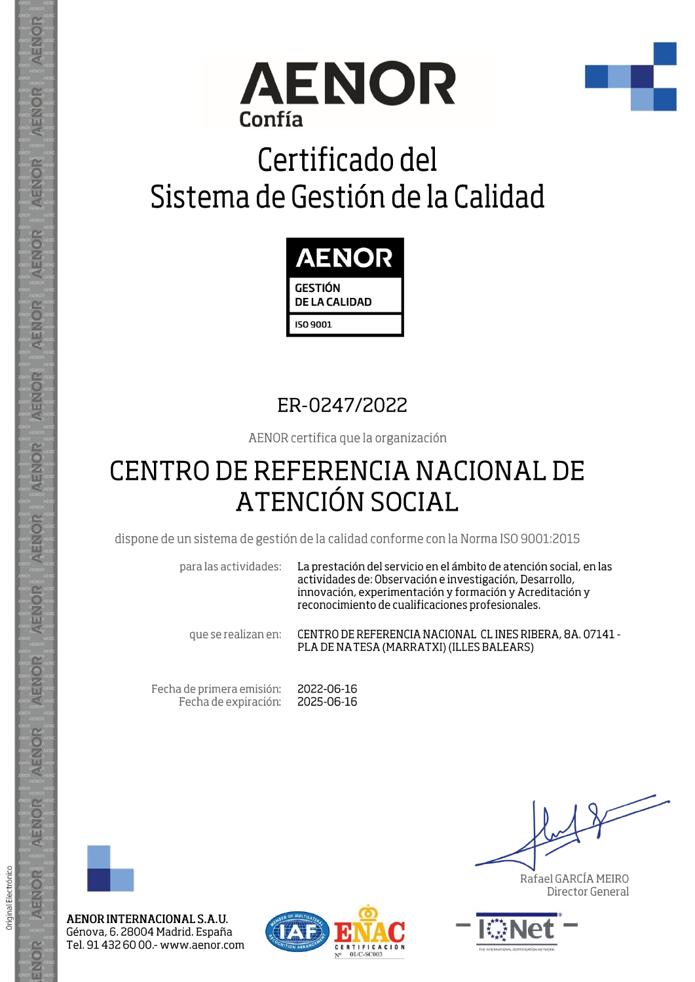



## Certificado del Sistema de Gestión de la Calidad



## ER-0247/2022

AENOR certifica que la organización

## **CENTRO DE REFERENCIA NACIONAL DE ATENCIÓN SOCIAL**

dispone de un sistema de gestión de la calidad conforme con la Norma ISO 9001:2015

para las actividades:

La prestación del servicio en el ámbito de atención social, en las actividades de: Observación e investigación, Desarrollo, innovación, experimentación y formación y Acreditación y reconocimiento de cualificaciones profesionales.

que se realizan en:

CENTRO DE REFERENCIA NACIONAL CL INES RIBERA, 8A. 07141 -PLA DE NA TESA (MARRATXI) (ILLES BALEARS)

Fecha de primera emisión: Fecha de expiración:

2022-06-16 2025-06-16



AENOR

ENOR

ENOR

AENOR

AENOR

AENOR

**AENOR** 

AENOR

ENOR

ENOR

AENOR

AENOR

AENOR

ENOR

Original Electrónico

AENOR INTERNACIONAL S.A.U. Génova, 6. 28004 Madrid. España Tel. 91 432 60 00 .- www.aenor.com



Rafael GARCÍA MEIRO Director General